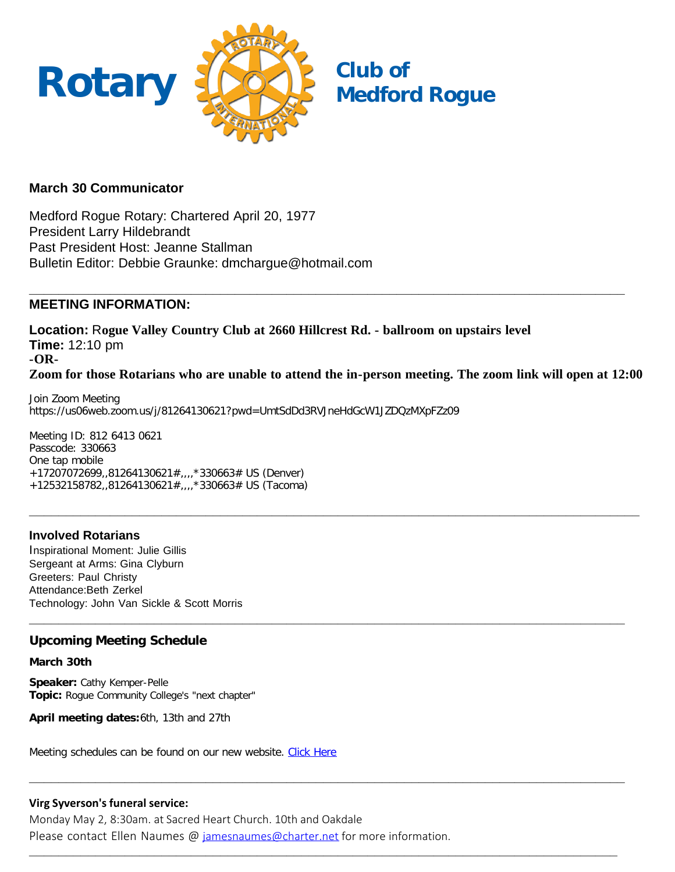

## **March 30 Communicator**

Medford Rogue Rotary: Chartered April 20, 1977 President Larry Hildebrandt Past President Host: Jeanne Stallman Bulletin Editor: Debbie Graunke: dmchargue@hotmail.com

#### **\_\_\_\_\_\_\_\_\_\_\_\_\_\_\_\_\_\_\_\_\_\_\_\_\_\_\_\_\_\_\_\_\_\_\_\_\_\_\_\_\_\_\_\_\_\_\_\_\_\_\_\_\_\_\_\_\_\_\_\_\_\_\_\_\_\_\_\_\_\_\_\_\_\_\_\_\_\_\_\_\_ MEETING INFORMATION:**

**Location:** R**ogue Valley Country Club at 2660 Hillcrest Rd. - ballroom on upstairs level Time:** 12:10 pm **-OR-Zoom for those Rotarians who are unable to attend the in-person meeting. The zoom link will open at 12:00**

**\_\_\_\_\_\_\_\_\_\_\_\_\_\_\_\_\_\_\_\_\_\_\_\_\_\_\_\_\_\_\_\_\_\_\_\_\_\_\_\_\_\_\_\_\_\_\_\_\_\_\_\_\_\_\_\_\_\_\_\_\_\_\_\_\_\_\_\_\_\_\_\_\_\_\_\_\_\_\_\_\_\_\_**

**\_\_\_\_\_\_\_\_\_\_\_\_\_\_\_\_\_\_\_\_\_\_\_\_\_\_\_\_\_\_\_\_\_\_\_\_\_\_\_\_\_\_\_\_\_\_\_\_\_\_\_\_\_\_\_\_\_\_\_\_\_\_\_\_\_\_\_\_\_\_\_\_\_\_\_\_\_\_\_\_\_**

**\_\_\_\_\_\_\_\_\_\_\_\_\_\_\_\_\_\_\_\_\_\_\_\_\_\_\_\_\_\_\_\_\_\_\_\_\_\_\_\_\_\_\_\_\_\_\_\_\_\_\_\_\_\_\_\_\_\_\_\_\_\_\_\_\_\_\_\_\_\_\_\_\_\_\_\_\_\_\_\_\_**

**\_\_\_\_\_\_\_\_\_\_\_\_\_\_\_\_\_\_\_\_\_\_\_\_\_\_\_\_\_\_\_\_\_\_\_\_\_\_\_\_\_\_\_\_\_\_\_\_\_\_\_\_\_\_\_\_\_\_\_\_\_\_\_\_\_\_\_\_\_\_\_\_\_\_\_\_\_\_\_\_**

Join Zoom Meeting https://us06web.zoom.us/j/81264130621?pwd=UmtSdDd3RVJneHdGcW1JZDQzMXpFZz09

Meeting ID: 812 6413 0621 Passcode: 330663 One tap mobile +17207072699, 81264130621#,  $\frac{1}{2}$  330663# US (Denver) +12532158782,,81264130621#,,,,\*330663# US (Tacoma)

## **Involved Rotarians**

Inspirational Moment: Julie Gillis Sergeant at Arms: Gina Clyburn Greeters: Paul Christy Attendance:Beth Zerkel Technology: John Van Sickle & Scott Morris

## **Upcoming Meeting Schedule**

**March 30th**

**Speaker:** Cathy Kemper-Pelle **Topic:** Rogue Community College's "next chapter"

**April meeting dates:**6th, 13th and 27th

Meeting schedules can be found on our new website. [Click Here](https://medfordrogue.org/)

## **Virg Syverson's funeral service:**

Monday May 2, 8:30am. at Sacred Heart Church. 10th and Oakdale Please contact Ellen Naumes @ [jamesnaumes@charter.net](mailto:jamesnaumes@charter.net) for more information.